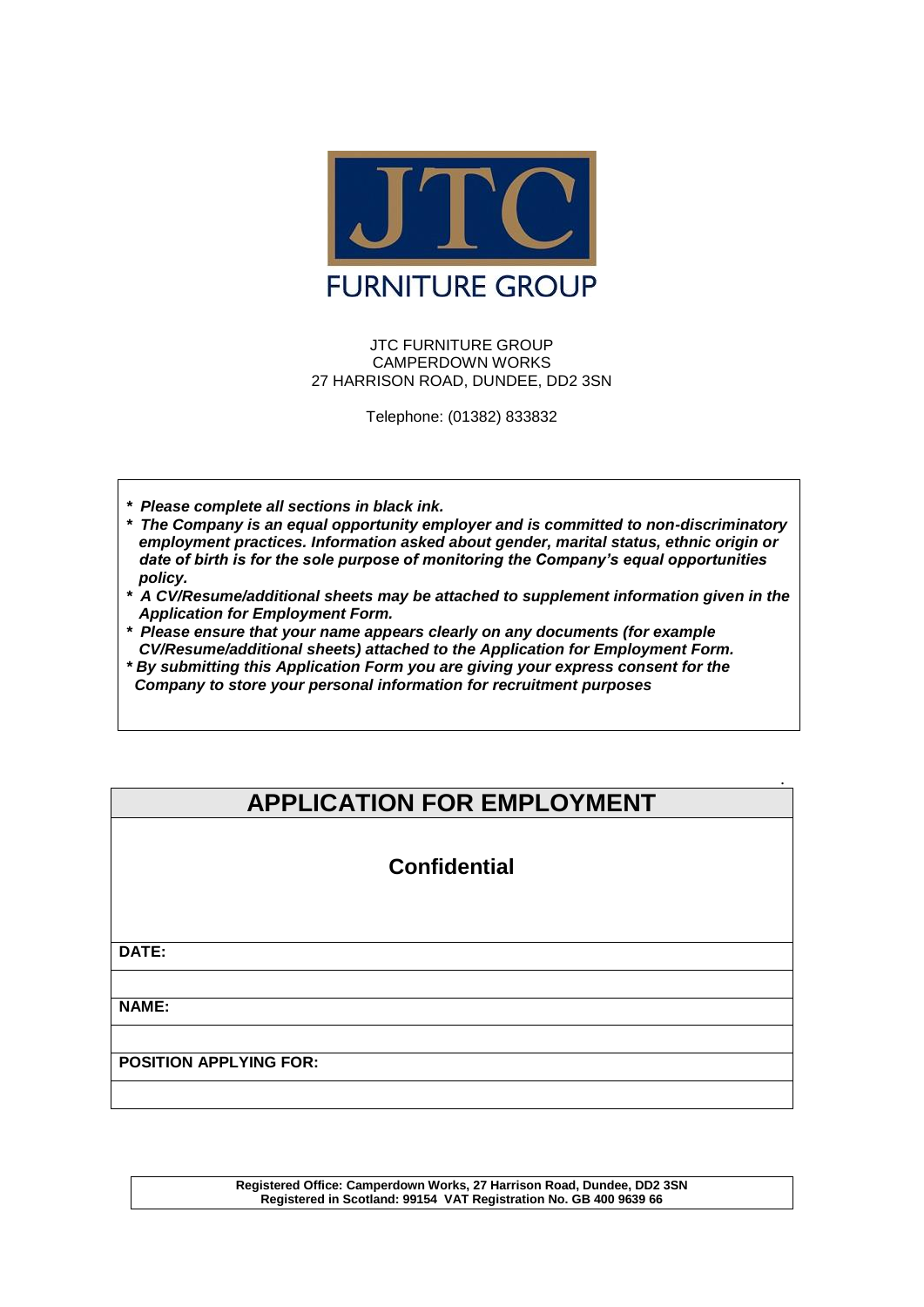

#### JTC FURNITURE GROUP CAMPERDOWN WORKS 27 HARRISON ROAD, DUNDEE, DD2 3SN

Telephone: (01382) 833832

- *\* Please complete all sections in black ink.*
- *\* The Company is an equal opportunity employer and is committed to non-discriminatory employment practices. Information asked about gender, marital status, ethnic origin or date of birth is for the sole purpose of monitoring the Company's equal opportunities policy.*
- *\* A CV/Resume/additional sheets may be attached to supplement information given in the Application for Employment Form.*
- *\* Please ensure that your name appears clearly on any documents (for example CV/Resume/additional sheets) attached to the Application for Employment Form.*
- *\* By submitting this Application Form you are giving your express consent for the Company to store your personal information for recruitment purposes*

# **APPLICATION FOR EMPLOYMENT**

**.**

# **Confidential**

**DATE:**

**NAME:**

**POSITION APPLYING FOR:**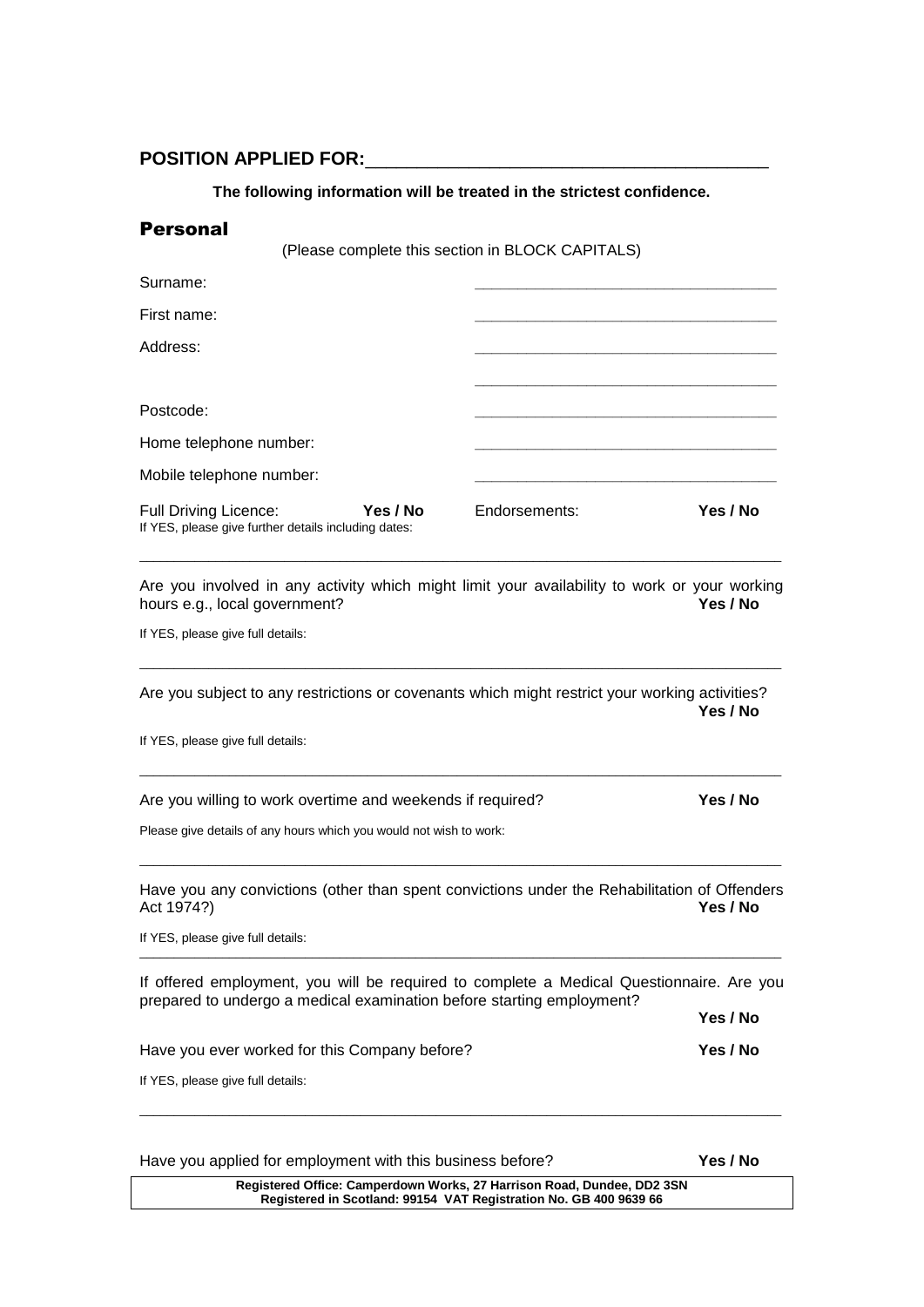# POSITION APPLIED FOR:

#### **The following information will be treated in the strictest confidence.**

| <b>Personal</b>                                                                                                                                                   |               |          |
|-------------------------------------------------------------------------------------------------------------------------------------------------------------------|---------------|----------|
| (Please complete this section in BLOCK CAPITALS)                                                                                                                  |               |          |
| Surname:                                                                                                                                                          |               |          |
| First name:                                                                                                                                                       |               |          |
| Address:                                                                                                                                                          |               |          |
|                                                                                                                                                                   |               |          |
| Postcode:                                                                                                                                                         |               |          |
| Home telephone number:                                                                                                                                            |               |          |
| Mobile telephone number:                                                                                                                                          |               |          |
| <b>Full Driving Licence:</b><br>Yes / No<br>If YES, please give further details including dates:                                                                  | Endorsements: | Yes / No |
| Are you involved in any activity which might limit your availability to work or your working<br>hours e.g., local government?                                     |               | Yes / No |
| If YES, please give full details:                                                                                                                                 |               |          |
| Are you subject to any restrictions or covenants which might restrict your working activities?                                                                    |               | Yes / No |
| If YES, please give full details:                                                                                                                                 |               |          |
| Are you willing to work overtime and weekends if required?                                                                                                        |               | Yes / No |
| Please give details of any hours which you would not wish to work:                                                                                                |               |          |
| Have you any convictions (other than spent convictions under the Rehabilitation of Offenders<br>Act 1974?)                                                        |               | Yes / No |
| If YES, please give full details:                                                                                                                                 |               |          |
| If offered employment, you will be required to complete a Medical Questionnaire. Are you<br>prepared to undergo a medical examination before starting employment? |               |          |
|                                                                                                                                                                   |               | Yes / No |
| Have you ever worked for this Company before?                                                                                                                     |               | Yes / No |
| If YES, please give full details:                                                                                                                                 |               |          |
|                                                                                                                                                                   |               |          |

Have you applied for employment with this business before? **Yes / No**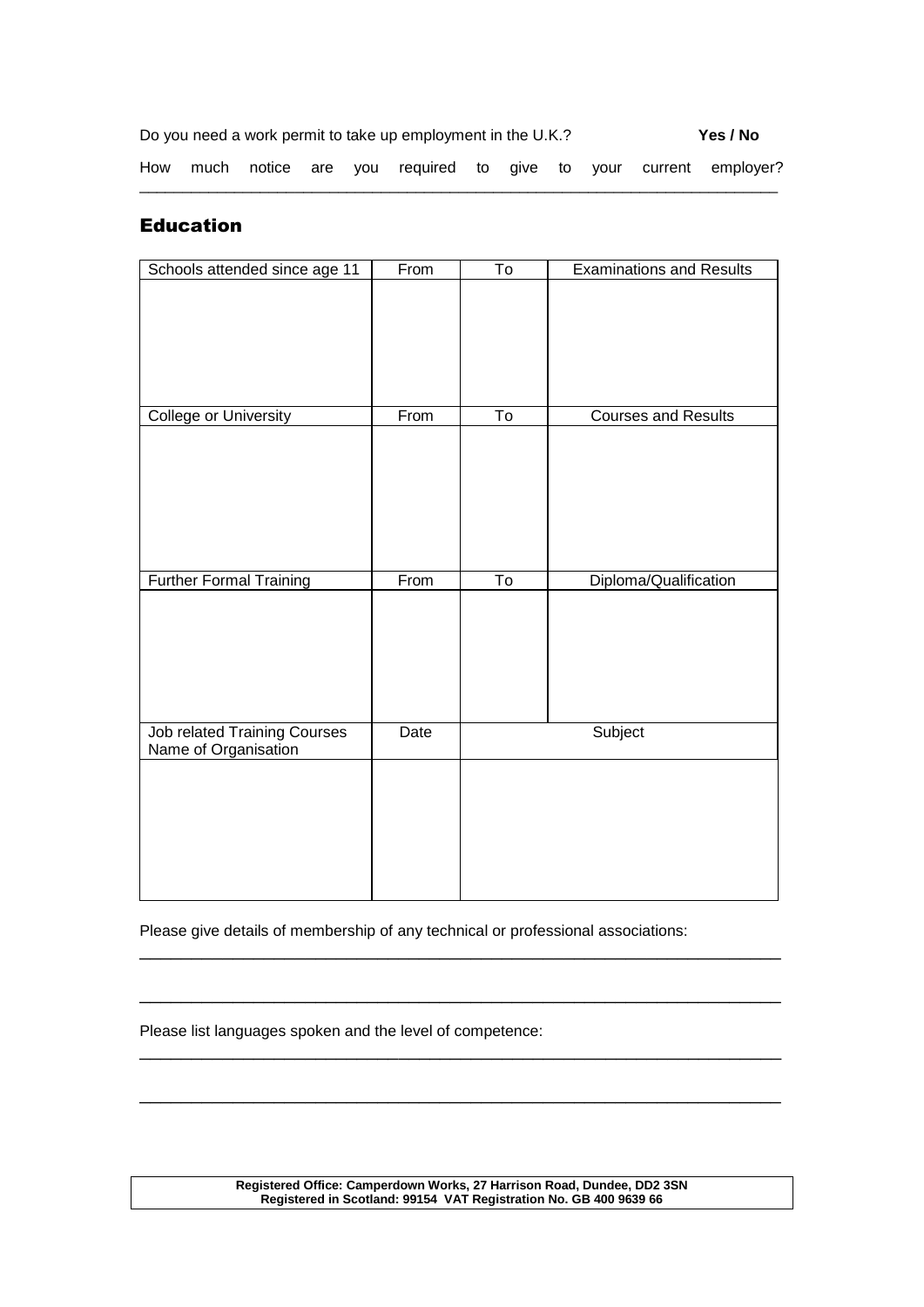|  |  | Do you need a work permit to take up employment in the U.K.? |  |  | Yes / No                                                           |
|--|--|--------------------------------------------------------------|--|--|--------------------------------------------------------------------|
|  |  |                                                              |  |  | How much notice are you required to give to your current employer? |

# Education

| Schools attended since age 11       | From | $\overline{\mathsf{T}}$  | <b>Examinations and Results</b> |
|-------------------------------------|------|--------------------------|---------------------------------|
|                                     |      |                          |                                 |
|                                     |      |                          |                                 |
|                                     |      |                          |                                 |
|                                     |      |                          |                                 |
|                                     |      |                          |                                 |
| <b>College or University</b>        | From | $\overline{\text{To}}$   | <b>Courses and Results</b>      |
|                                     |      |                          |                                 |
|                                     |      |                          |                                 |
|                                     |      |                          |                                 |
|                                     |      |                          |                                 |
|                                     |      |                          |                                 |
|                                     |      |                          |                                 |
| <b>Further Formal Training</b>      | From | $\overline{\mathsf{To}}$ | Diploma/Qualification           |
|                                     |      |                          |                                 |
|                                     |      |                          |                                 |
|                                     |      |                          |                                 |
|                                     |      |                          |                                 |
|                                     |      |                          |                                 |
| <b>Job related Training Courses</b> | Date |                          | Subject                         |
| Name of Organisation                |      |                          |                                 |
|                                     |      |                          |                                 |
|                                     |      |                          |                                 |
|                                     |      |                          |                                 |
|                                     |      |                          |                                 |
|                                     |      |                          |                                 |
|                                     |      |                          |                                 |

Please give details of membership of any technical or professional associations:

\_\_\_\_\_\_\_\_\_\_\_\_\_\_\_\_\_\_\_\_\_\_\_\_\_\_\_\_\_\_\_\_\_\_\_\_\_\_\_\_\_\_\_\_\_\_\_\_\_\_\_\_\_\_\_\_\_\_\_\_\_\_

\_\_\_\_\_\_\_\_\_\_\_\_\_\_\_\_\_\_\_\_\_\_\_\_\_\_\_\_\_\_\_\_\_\_\_\_\_\_\_\_\_\_\_\_\_\_\_\_\_\_\_\_\_\_\_\_\_\_\_\_\_\_

\_\_\_\_\_\_\_\_\_\_\_\_\_\_\_\_\_\_\_\_\_\_\_\_\_\_\_\_\_\_\_\_\_\_\_\_\_\_\_\_\_\_\_\_\_\_\_\_\_\_\_\_\_\_\_\_\_\_\_\_\_\_

\_\_\_\_\_\_\_\_\_\_\_\_\_\_\_\_\_\_\_\_\_\_\_\_\_\_\_\_\_\_\_\_\_\_\_\_\_\_\_\_\_\_\_\_\_\_\_\_\_\_\_\_\_\_\_\_\_\_\_\_\_\_

Please list languages spoken and the level of competence: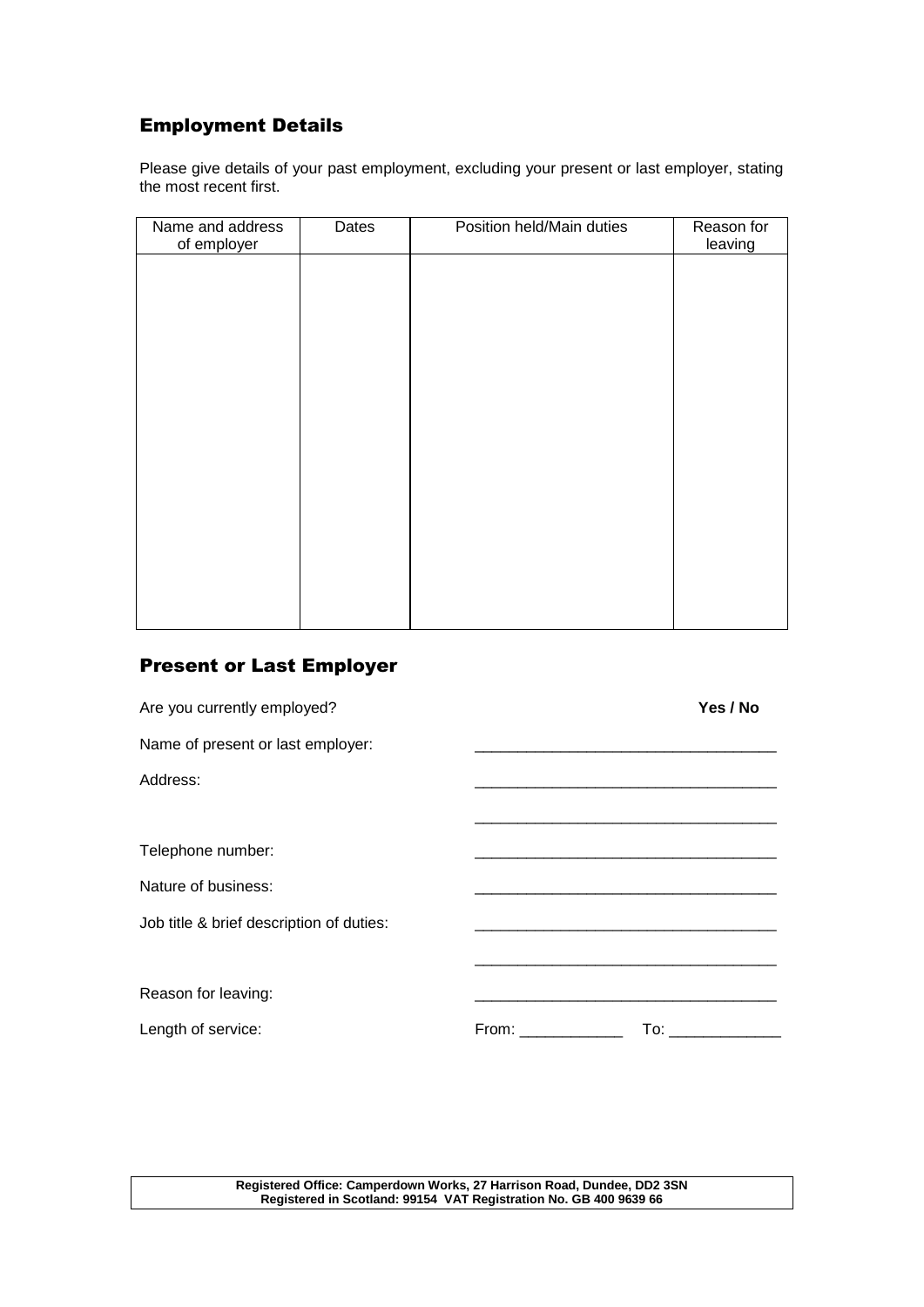# Employment Details

Please give details of your past employment, excluding your present or last employer, stating the most recent first.

| Name and address<br>of employer | Dates | Position held/Main duties | Reason for<br>leaving |
|---------------------------------|-------|---------------------------|-----------------------|
|                                 |       |                           |                       |
|                                 |       |                           |                       |
|                                 |       |                           |                       |
|                                 |       |                           |                       |
|                                 |       |                           |                       |
|                                 |       |                           |                       |
|                                 |       |                           |                       |
|                                 |       |                           |                       |
|                                 |       |                           |                       |
|                                 |       |                           |                       |

# Present or Last Employer

| Are you currently employed?              |                 | Yes / No |
|------------------------------------------|-----------------|----------|
| Name of present or last employer:        |                 |          |
| Address:                                 |                 |          |
| Telephone number:                        |                 |          |
| Nature of business:                      |                 |          |
| Job title & brief description of duties: |                 |          |
| Reason for leaving:                      |                 |          |
| Length of service:                       | From:<br>To: To |          |